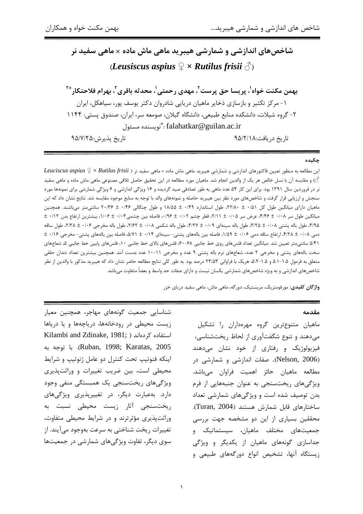# شاخصهای اندازشی و شمارشی هیبرید ماهی ماش ماده × ماهی سفید نر (Leusiscus aspius  $\mathcal{Q} \times$  Rutilus frisii  $\mathcal{J}$ )

بهمن مكنت خواه'، پريسا حق پرست'، مهدي رحمتي'، محدثه باقري'، بهرام فلاحتكار \*' ۱- مرکز تکثیر و بازسازی ذخایر ماهیان دریایی شادروان دکتر پوسف پور، سیاهکل، ایران ۲- گروه شیلات، دانشکده منابع طبیعی، دانشگاه گیلان، صومعه سر، ایران، صندوق پستی: ۱۱۴۴ falahatkar@guilan.ac.ir : ٌنويسنده مسئول

تاريخ پذيرش:٩۵/٧/٢۵

تاريخ دريافت:٩۵/٢/١٨

#### چکیده

این مطالعه به منظور تعیین فاکتورهای اندازشی و شمارشی هیبرید ماهی ماش ماده × ماهی سفید نر ( Leuciscus aspius ♀ × Rutilus frisii ۞) و مقايسه آن با نسل خالص هر يک از والدين انجام شد. ماهيان مورد مطالعه در اين تحقيق حاصل تلاقي مصنوعي ماهي ماش ماده و ماهي سفيد نر در فروردین سال ۱۳۹۱ بود. برای این کار ۵۴ عدد ماهی به طور تصادفی صید گردیده و ۱۶ ویژگی اندازشی و ۶ ویژگی شمارشی برای نمونهها مورد سنجش و ارزیابی قرار گرفت و شاخصهای مورد نظر بین هیبرید حاصله و نمونههای والد با توجه به منابع موجود مقایسه شد. نتایج نشان داد که این ماهیان دارای میانگین طول کل ۲۱/۸۰ ± ۲۲/۸۰، طول استاندارد ۱۸/۵۵ ± ۱۸/۵۵ و طول چنگالی ۲۰/۴۶ ± ۲۰/۳۶ سانتیمتر میباشند. همچنین میانگین طول سر ۴/۱۰۸ ± ۴/۴۶، عرض سر ۲/۱۵ ± ۲/۱۱، قطر چشم ۰/۰۲ ± ۰/۰۲، فاصله بین چشمی۱/۰۴ ± ۱/۰۶، بیشترین ارتفاع بدن ۰/۱۲ ± ۳/۹۵، طول باله پشتی ۲/۰۸ ± ۳/۲۵، طول باله سینهای ۰/۰۹ ± ۳/۲۷، طول باله شکمی ۲/۰۸ ± ۲/۶۲، طول باله مخرجی ۲/۰۶ ± ۲/۳۸، طول ساقه دمی ۴/۱۸ ± ۴/۲۸، ارتفاع ساقه دمی ۱/۵۹ ± ۱/۵۹، فاصله بین بالههای پشتی- سینهای ۱/۱۴ ± ۵/۷۱، فاصله بین بالههای پشتی- مخرجی ۱/۱۶ ± ۵/۴۱ سانتی،تر تعیین شد. میانگین تعداد فلس های روی خط جانبی ۶۸-۶۰، فلس های بالای خط جانبی ۱۰، فلس های پایین خط جانبی ۵، شعاعهای سخت بالههای پشتی و مخرجی ۲ عدد، شعاعهای نرم باله پشتی ۹ عدد و مخرجی ۱۱-۱۰ عدد بدست آمد. همچنین بیشترین تعداد دندان حلقی متعلق به فرمول ۱.۵–۵.۱ و ۱.۵–۵.۲ هریک با فراوانی ۲۳/۵۳ درصد بود. به طور کلی نتایج مطالعه حاضر نشان داد که هيبريد مذكور با والدين از نظر شاخصهای اندازشی و به ویژه شاخصهای شمارشی یکسان نیست و دارای صفات حد واسط و بعضاً متفاوت میباشد.

واژگان کلیدی: مورفومتریک، مریستیک، دورگه، ماهی ماش، ماهی سفید دریای خزر

#### مقدمه

ماهیان متنوعترین گروه مهرهداران را تشکیل می دهند و تنوع شگفتآوری از لحاظ ریختشناسی، فيزيولوژيک و رفتاري از خود نشان مي دهند (Nelson, 2006). صفات اندازشی و شمارشی در مطالعه ماهيان حائز اهميت فراوان مىباشد. ویژگیهای ریختسنجی به عنوان جنبههایی از فرم بدن توصیف شده است و ویژگیهای شمارشی تعداد ساختارهای قابل شمارش هستند (Turan, 2004). محققین بسیاری از این دو مشخصه جهت بررسی جمعیتهای مختلف ماهیان، سیستماتیک و جداسازی گونههای ماهیان از یکدیگر و ویژگی زیستگاه آنها، تشخیص انواع دورگههای طبیعی و

شناسایی جمعیت گونههای مهاجر، همچنین معیار زیست محیطی در رودخانهها، دریاچهها و یا دریاها Kilambi and Zdinake, 1981; ) استفاده کردهاند Ruban, 1998; Karatas, 2005). با توجه به اينكه فنوتيپ تحت كنترل دو عامل ژنوتيپ و شرايط محیطی است، بین ضریب تغییرات و وراثتیذیری ویژگیهای ریختسنجی یک همبستگی منفی وجود دارد. بهعبارت دیگر، در تغییرپذیری ویژگیهای ریخت سنجی آثار زیست محیطی نسبت به وراثتپذیری مؤثرترند و در شرایط محیطی متفاوت، تغییرات ریخت شناختی به سرعت بهوجود میآیند. از سوی دیگر، تفاوت ویژگیهای شمارشی در جمعیتها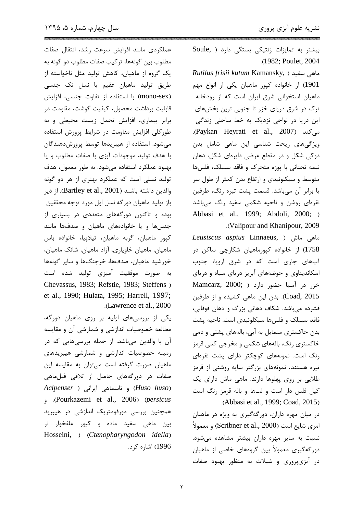عملكردى مانند افزايش سرعت رشد، انتقال صفات مطلوب بين گونهها، تركيب صفات مطلوب دو گونه به یک گروه از ماهیان، کاهش تولید مثل ناخواسته از طریق تولید ماهیان عقیم یا نسل تک جنسی (mono-sex) با استفاده از تفاوت جنسی، افزایش قابلیت برداشت محصول، کیفیت گوشت، مقاومت در برابر بیماری، افزایش تحمل زیست محیطی و به طورکلی افزایش مقاومت در شرایط پرورش استفاده میشود. استفاده از هیبریدها توسط پرورشدهندگان با هدف توليد موجودات آبزي با صفات مطلوب و يا بهبود عملکرد استفاده میشود. به طور معمول، هدف تولید نسلی است که عملکرد بهتری از هر دو گونه والدين داشته باشند (Bartley et al., 2001). از دير باز تولید ماهیان دورگه نسل اول مورد توجه محققین بوده و تاکنون دورگههای متعددی در بسیاری از جنسها ويا خانوادههاى ماهيان وصدفها مانند کيور ماهيان، گربه ماهيان، تيلاييا، خانواده باس ماهیان، ماهیان خاویاری، آزاد ماهیان، شانک ماهیان، خورشید ماهیان، صدفها، خرچنگها و سایر گونهها به صورت موفقیت آمیزی تولید شده است Chevassus, 1983; Refstie, 1983; Steffens) et al., 1990; Hulata, 1995; Harrell, 1997; .(Lawrence et al., 2000)

یکی از بررسیهای اولیه بر روی ماهیان دورگه، مطالعه خصوصیات اندازشی و شمارشی آن و مقایسه آن با والدین میباشد. از جمله بررسیهایی که در زمینه خصوصیات اندازشی و شمارشی هیبریدهای ماهیان صورت گرفته است میتوان به مقایسه این صفات در دورگههای حاصل از تلاقی فیل ماهی (Huso huso) و تاسماهی ایرانی ( Acipenser , (Pourkazemi et al., 2006) (persicus همچنین بررسی مورفومتریک اندازشی در هیبرید بين ماهي سفيد ماده و كپور علفخوار نر Hosseini, ) (Ctenopharyngodon idella) 1996) اشاره کړد. بیشتر به تمایزات ژنتیکی بستگی دارد ( Soule .(1982; Poulet, 2004)

Rutilus frisii kutum Kamansky, ) ماهی سفید 1901) از خانواده کپور ماهیان یکی از انواع مهم ماهیان استخوانی شرق ایران است که از رودخانه ترک در شرق دریای خزر تا جنوبی ترین بخشهای این دریا در نواحی نزدیک به خط ساحلی زندگی . (Paykan Heyrati et al., 2007). ویژگیهای ریخت شناسی این ماهی شامل بدن دوکی شکل و در مقطع عرضی دایرهای شکل، دهان نیمه تحتانی با پوزه متحرک و فاقد سبیلک، فلسها متوسط و سیکلوئیدی و ارتفاع بدن کمتر از طول سر یا برابر آن میباشد. قسمت پشت تیره رنگ، طرفین نقرهای روشن و ناحیه شکمی سفید رنگ میباشد Abbasi et al., 1999; Abdoli, 2000; ) .(Valipour and Khanipour, 2009

Leusiscus aspius Linnaeus, ) ماهی ماش 1758) از خانواده کپورماهیان شکارچی ساکن در آبهای جاری است که در شرق اروپا، جنوب اسکاندیناوی و حوضههای آبریز دریای سیاه و دریای خزر در آسيا حضور دارد ( Mamcarz, 2000; Coad, 2015). بدن این ماهی کشیده و از طرفین فشرده می باشد. شکاف دهانی بزرگ و دهان فوقانی، فاقد سبیلک و فلس۵ها سیکلوئیدی است. ناحیه پشت بدن خاکستری متمایل به آبی، بالههای پشتی و دمی خاکستري رنگ، بالههاي شکمي و مخرجي کمي قرمز رنگ است. نمونههای کوچکتر دارای پشت نقرهای تیره هستند. نمونههای بزرگتر سایه روشنی از قرمز طلایی بر روی پهلوها دارند. ماهی ماش دارای یک کیل فلس دار است و لبها و باله قرمز رنگ است .(Abbasi et al., 1999; Coad, 2015)

در میان مهره داران، دورگهگیری به ویژه در ماهیان امری شایع است (Scribner et al., 2000) و معمولاً نسبت به سایر مهره داران بیشتر مشاهده میشود. دورگەگیری معمولاً بین گروەھای خاصی از ماھیان در آبزی پروری و شیلات به منظور بهبود صفات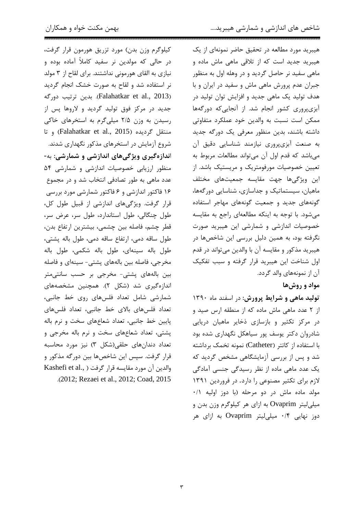کیلوگرم وزن بدن) مورد تزریق هورمون قرار گرفت، در حالی که مولدین نر سفید کاملاً آماده بوده و نیازی به القای هورمونی نداشتند. برای لقاح از ۳ مولد نر استفاده شد و لقاح به صورت خشک انجام گردید (Falahatkar et al., 2013). بدين ترتيب دورگه جدید در مرکز فوق تولید گردید و لاروها پس از رسیدن به وزن ۲/۵ میلی گرم به استخرهای خاکی و تا (Falahatkar et al., 2015) و تا شروع آزمایش در استخرهای مذکور نگهداری شدند. اندازهگیری ویژگیهای اندازشی و شمارشی: به-منظور ارزیابی خصوصیات اندازشی و شمارشی ۵۴ عدد ماهی به طور تصادفی انتخاب شد و در مجموع ۱۶ فاکتور اندازشی و ۶ فاکتور شمارشی مورد بررسی قرار گرفت. ویژگیهای اندازشی از قبیل طول کل، طول چنگالی، طول استاندارد، طول سر، عرض سر، قطر چشم، فاصله بین چشمی، بیشترین ارتفاع بدن، طول ساقه دمي، ارتفاع ساقه دمي، طول باله پشتي، طول باله سینهای، طول باله شکمی، طول باله مخرجی، فاصله بین بالههای پشتی- سینهای و فاصله بین بالههای پشتی- مخرجی بر حسب سانتیمتر اندازهگیری شد (شکل ۲). همچنین مشخصههای شمارشی شامل تعداد فلسهای روی خط جانبی، تعداد فلسهای بالای خط جانبی، تعداد فلسهای پایین خط جانبی، تعداد شعاعهای سخت و نرم باله یشتی، تعداد شعاعهای سخت و نرم باله مخرجی و تعداد دندانهای حلقی(شکل ۳) نیز مورد محاسبه قرار گرفت. سپس این شاخصها بین دورگه مذکور و Blashefi et al., ) والدين آن مورد مقايسه قرار ر .(2012; Rezaei et al., 2012; Coad, 2015 هیبرید مورد مطالعه در تحقیق حاضر نمونهای از یک هیبرید جدید است که از تلاقی ماهی ماش ماده و ماهی سفید نر حاصل گردید و در وهله اول به منظور جبران عدم پرورش ماهی ماش و سفید در ایران و با هدف تولید یک ماهی جدید و افزایش توان تولید در آبزیپروری کشور انجام شد. از آنجایی که دورگهها ممکن است نسبت به والدین خود عملکرد متفاوتی داشته باشند، بدین منظور معرفی یک دورگه جدید به صنعت آبزيپروري نيازمند شناسايي دقيق آن میباشد که قدم اول آن میتواند مطالعات مربوط به تعیین خصوصیات مورفومتریک و مریستیک باشد. از این ویژگیها جهت مقایسه جمعیتهای مختلف ماهیان، سیستماتیک و جداسازی، شناسایی دور گهها، گونههای جدید و جمعیت گونههای مهاجر استفاده می شود. با توجه به اینکه مطالعهای راجع به مقایسه خصوصیات اندازشی و شمارشی این هیبرید صورت نگرفته بود، به همین دلیل بررسی این شاخصها در هيبريد مذكور و مقايسه آن با والدين ميتواند در قدم اول شناخت این هیبرید قرار گرفته و سبب تفکیک آن از نمونههای والد گردد.

## مواد و روش ها

تولید ماهی و شرایط پرورش: در اسفند ماه ١٣٩٠ از ٢ عدد ماهی ماش ماده که از منطقه ارس صید و در مرکز تکثیر و بازسازی ذخایر ماهیان دریایی شادروان دکتر یوسف پور سیاهکل نگهداری شده بود با استفاده از کاتتر (Catheter) نمونه تخمک برداشته شد و پس از بررسی آزمایشگاهی مشخص گردید که یک عدد ماهی ماده از نظر رسیدگی جنسی آمادگی لازم برای تکثیر مصنوعی را دارد. در فروردین ۱۳۹۱ مولد ماده ماش در دو مرحله (با دوز اوليه ٠/١ میلی لیتر Ovaprim به ازای هر کیلوگرم وزن بدن و دوز نهایی ۰/۴ میلی لیتر Ovaprim به ازای هر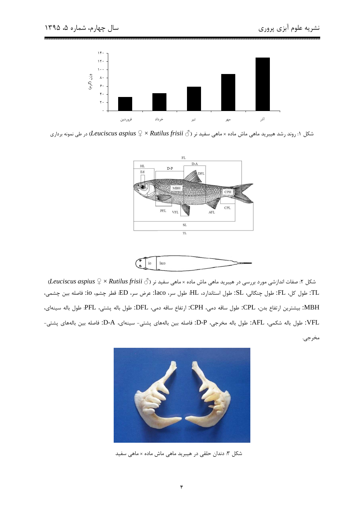

شکل ۱: روند رشد هیبرید ماهی ماش ماده × ماهی سفید نر ( $\mathcal C\times\mathcal R$ utilus frisii  $\mathcal C\to L$ در طی نمونه برداری





شکل ۲: صفات اندازشی مورد بررسی در هیبرید ماهی ماش ماده × ماهی سفید نر ( $\geqslant 1$  Kutilus frisii  $\zeta$  × Autilus frisii  $\zeta$ .TL: طول كل، FL: طول چنگالي، SL: طول استاندارد، HL: طول سر، laco: عرض سر، ED: قطر چشم، io: فاصله بين چشمي، MBH: بیشترین ارتفاع بدن، CPL: طول ساقه دمی، CPH: ارتفاع ساقه دمی، DFL: طول باله پشتی، PFL: طول باله سینهای، .VFL: طول باله شكمي، AFL: طول باله مخرجي، D-P: فاصله بين بالههاي پشتي- سينهاي، D-A: فاصله بين بالههاي پشتي-مخرجي.



شکل ۳: دندان حلقی در هیبرید ماهی ماش ماده × ماهی سفید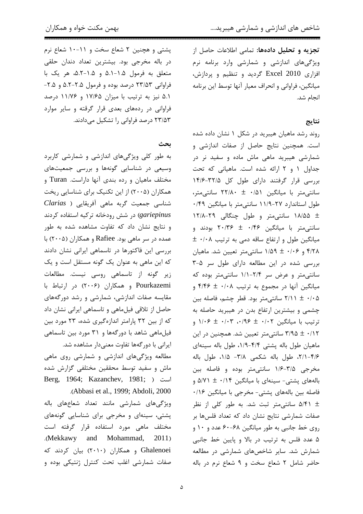پشتی و هچنین ۲ شعاع سخت و ۱۱-۱۰ شعاع نرم در باله مخرجی بود. بیشترین تعداد دندان حلقی متعلق به فرمول ۰.۵–۵.۱ و ۰.۵–۵.۲ هر یک با فراوانی ۲۳/۵۳ درصد بوده و فرمول ۲.۵-۵.۲ و ۲.۵-۵.۱ نیز به ترتیب با میزان ۱۷/۶۵ و ۱۱/۷۶ درصد فراوانی در ردههای بعدی قرار گرقته و سایر موارد ۲۳/۵۳ درصد فراوانی را تشکیل میدادند.

ىحث

به طور کلی ویژگیهای اندازشی و شمارشی کاربرد وسیعی در شناسایی گونهها و بررسی جمعیتهای مختلف ماهیان و رده بندی آنها داراست. Turan و همکاران (۲۰۰۵) از این تکنیک برای شناسایی ریخت شناسی جمعیت گربه ماهی آفریقایی ( Clarias gariepinus) در شش رودخانه ترکیه استفاده کردند و نتایج نشان داد که تفاوت مشاهده شده به طور عمده در سر ماهي بود. Rafiee و همكاران (۲۰۰۵) با بررسی این فاکتورها در تاسماهی ایرانی نشان دادند که این ماهی به عنوان یک گونه مستقل است و یک زیر گونه از تاسماهی روسی نیست. مطالعات Pourkazemi و همكاران (۲۰۰۶) در ارتباط با مقایسه صفات اندازشی، شمارشی و رشد دورگههای حاصل از تلاقی فیلماهی و تاسماهی ایرانی نشان داد که از بین ۳۲ پارامتر اندازهگیری شده، ۲۳ مورد بین فیلماهی شاهد با دورگهها و ۳۱ مورد بین تاسماهی ایرانی با دور گهها تفاوت معنیدار مشاهده شد.

مطالعه ویژگیهای اندازشی و شمارشی روی ماهی ماش و سفید توسط محققین مختلفی گزارش شده Berg, 1964; Kazanchev, 1981; ) است

.(Abbasi et al., 1999; Abdoli, 2000 ویژگی های شمارشی مانند تعداد شعاعهای باله پشتی، سینهای و مخرجی برای شناسایی گونههای مختلف ماهی مورد استفاده قرار گرفته است .(Mekkawy and Mohammad, 2011) Ghalenoei و همکاران (۲۰۱۰) بیان کردند که صفات شمارشی اغلب تحت کنترل ژنتیکی بوده و تجزيه و تحليل دادهها: تمامى اطلاعات حاصل از ویژگیهای اندازشی و شمارشی وارد برنامه نرم افزاری Excel 2010 گردید و تنظیم و پردازش، میانگین، فراوانی و انحراف معیار آنها توسط این برنامه انجام شد.

## نتايج

روند رشد ماهیان هیبرید در شکل ۱ نشان داده شده است. همچنین نتایج حاصل از صفات اندازشی و شمارشی هیبرید ماهی ماش ماده و سفید نر در جداول ١ و ٢ ارائه شده است. ماهياني كه تحت بررسی قرار گرفتند دارای طول کل ۳۲/۵-۱۴/۶ سانتے متر با میانگین ۰/۵۱ ± ۲۲/۸۰ سانتے متر، طول استاندارد ٢٧-١١/٩ سانتي متر با ميانگين ٠/۴٩ ± ١٨/۵۵ سانتیمتر و طول چنگالی ٢٩-١٢/٨ سانتی متر با میانگین ۰/۴۶ ± ۲۰/۳۶ بودند و  $\pm$  ۰/۰۸ میانگین طول و ارتفاع ساقه دمی به ترتیب ۴/۲۸ و ۰/۰۶ ± ۱/۵۹ سانتے متر تعیین شد. ماهیان بررسی شده در این مطالعه دارای طول سر ۵-۳ سانتی متر و عرض سر ۲/۴-۱/۱ سانتی متر بوده که میانگین آنها در مجموع به ترتیب ۰/۰۸ ± ۴/۴۶ و ۲/۱۱ ± ۲/۱۱ سانتی متر بود. قطر چشم، فاصله بین چشمی و بیشترین ارتفاع بدن در هیبرید حاصله به ترتیب با میانگین ۰/۰۲ ± ۰/۰۳، ۰/۰۳ ± ۱/۰۶ و ۰/۱۲ ± ۳/۹۵ سانتی متر تعیین شد. همچنین در این ماهیان طول باله پشتی ۴/۴-۱/۹، طول باله سینهای ۰۲/۱-۴/۶ طول باله شکمی ۳/۸- ۱/۵، طول باله مخرجی ۳/۵-۱/۶ سانتی متر بوده و فاصله بین بالههای پشتی- سینهای با میانگین ۰/۱۴ ± ۵/۷۱ و فاصله بين بالههاى پشتى- مخرجى با ميانگين ١١۶٠ شد. به طور کلی از نظر  $\sim$ ۵/۴۱ شانتی متر ثبت شد. به طور کلی از نظر صفات شمارشی نتایج نشان داد که تعداد فلسها بر روی خط جانبی به طور میانگین ۶۸-۶۰ عدد و ۱۰ و ۵ عدد فلس به ترتیب در بالا و پایین خط جانبی شمارش شد. سایر شاخصهای شمارشی در مطالعه حاضر شامل ٢ شعاع سخت و ٩ شعاع نرم در باله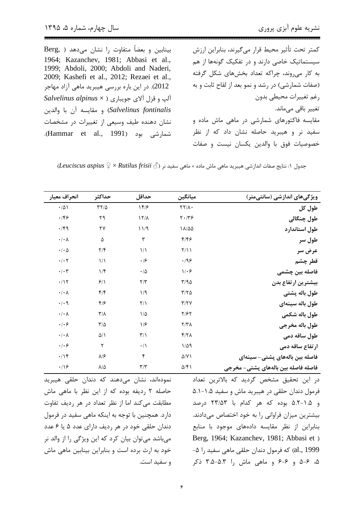بینابین و بعضاً متفاوت ,ا نشان می دهد ( ,Berg 1964; Kazanchev, 1981; Abbasi et al., 1999; Abdoli, 2000; Abdoli and Naderi, 2009; Kashefi et al., 2012; Rezaei et al., 2012). در این باره بررسی هیبرید ماهی آزاد مهاجر Salvelinus alpinus x ) آلپ و قزل آلای جویباری Salvelinus fontinalis) و مقايسه آن با والدين نشان دهنده طیف وسیعی از تغییرات در مشخصات شمارشي بود (Hammar et al., 1991). كمتر تحت تأثير محيط قرار مىگيرند، بنابراين ارزش سیستماتیک خاصی دارند و در تفکیک گونهها از هم به کار می روند، چراکه تعداد بخشهای شکل گرفته (صفات شمارشی) در رشد و نمو بعد از لقاح ثابت و به رغم تغييرات محيطي بدون تغییر باقی مے ماند. مقایسه فاکتورهای شمارشی در ماهی ماش ماده و سفید نر و هیبرید حاصله نشان داد که از نظر خصوصيات فوق با والدين يكسان نيست و صفات

(Leuciscus aspius  $\mathfrak{Q}\times R$ utilus frisii  $\mathfrak{S}$  جدول ۱: نتايج صفات اندازشي هيبريد ماهي ماش ماده × ماهي سفيد نر

| ویژگیهای اندازشی (سانتیمتر)         | ميانگين                       | حداقل                   | حداكثر                  | انحراف معيار                                                      |
|-------------------------------------|-------------------------------|-------------------------|-------------------------|-------------------------------------------------------------------|
| طول کل                              | $\Upsilon\Upsilon/\Lambda$    | 159                     | $\tau\tau/\Delta$       | $\cdot/\Delta$                                                    |
| طول چنگالی                          | $\mathbf{Y} \cdot \mathbf{X}$ | $17/\lambda$            | ٢٩                      | $\cdot$ /۴۶                                                       |
| طول استاندارد                       | $1\lambda/\Delta\Delta$       | 11/9                    | ٢٧                      | $\cdot$ /۴۹                                                       |
| طول سر                              | ۴۱۴۶                          | ٣                       | ۵                       | $\boldsymbol{\cdot}\, \boldsymbol{\cdot}\,\boldsymbol{\wedge}$    |
| عرض سر                              | Y/11                          | $\frac{1}{2}$           | $\mathbf{Y}/\mathbf{F}$ | $\cdot$ / $\cdot$ $\Delta$                                        |
| قطر چشم                             | $\cdot$ /98                   | $\cdot$ /۶              | $\frac{1}{2}$           | $\cdot/\cdot$ ۲                                                   |
| فاصله بین چشمی                      | $1/\cdot 5$                   | $\cdot$ /<br>$\Delta$   | 1/f                     | $\boldsymbol{\cdot}\, \boldsymbol{\cdot}\, \boldsymbol{\uparrow}$ |
| بيشترين ارتفاع بدن                  | T/90                          | $\mathbf{Y}/\mathbf{Y}$ | 9/1                     | $\cdot/\gamma$                                                    |
| طول باله پشتی                       | $\Gamma/\Gamma \Delta$        | 1/9                     | $f/\mathfrak{f}$        | $\boldsymbol{\cdot}\, \boldsymbol{\cdot}\,\boldsymbol{\wedge}$    |
| طول باله سينهاى                     | Y/YY                          | $\Upsilon/\Upsilon$     | $f/\epsilon$            | $\cdot$ / $\cdot$ 9                                               |
| طول باله شكمي                       | $Y/\mathcal{F}Y$              | $1/\Delta$              | $\tau/\lambda$          | $\boldsymbol{\cdot}\, \boldsymbol{\cdot}\,\boldsymbol{\wedge}$    |
| طول باله مخرجي                      | Y/Y                           | 1/5                     | $\mathbf{r}/\mathbf{r}$ | $\cdot$ / $\cdot$ $\varphi$                                       |
| طول ساقه دمی                        | Y/Y                           | $\mathbf{r}/\mathbf{v}$ | $\Delta/\Lambda$        | $\boldsymbol{\cdot}\, \boldsymbol{\cdot}\,\boldsymbol{\wedge}$    |
| ارتفاع ساقه دمی                     | $1/\Delta$ 9                  | $\cdot/\wedge$          | ٢                       | $\cdot$ / $\cdot$ $\varphi$                                       |
| فاصله بین بالههای پشتی– سینهای      | $\Delta$ /Y \                 | ۴                       | $\lambda/\mathcal{F}$   | $\cdot/\gamma$                                                    |
| فاصله فاصله بين بالههاى پشتى- مخرجى | $\Delta/\mathfrak{F}$         | $\mathbf{r}/\mathbf{r}$ | $\lambda/\Delta$        | $\cdot$ /16                                                       |

در این تحقیق مشخص گردید که بالاترین تعداد فرمول دندان حلقی در هیبرید ماش و سفید ۰.۵–۵.۱ و ۵.۵–۵.۲ بوده که هر کدام با ۲۳/۵۳ درصد بیشترین میزان فراوانی را به خود اختصاص میدادند. بنابراین از نظر مقایسه دادههای موجود با منابع Berg, 1964; Kazanchev, 1981; Abbasi et ) al., 1999) که فرمول دندان حلقی ماهی سفید را ۵− ۵، ۶-۵ و ۶-۶ و ماهی ماش را ۵.۳-۳.۵ ذکر

نمودهاند، نشان میدهند که دندان حلقی هیبرید حاصله ۲ ,دیفه بوده که از این نظر با ماهی ماش مطابقت می کند اما از نظر تعداد در هر رديف تفاوت دارد. همچنین با توجه به اینکه ماهی سفید در فرمول دندان حلقی خود در هر ردیف دارای عدد ۵ یا ۶ عدد میباشد میتوان بیان کرد که این ویژگی را از والد نر خود به ارث برده است و بنابراین بینابین ماهی ماش و سفید است.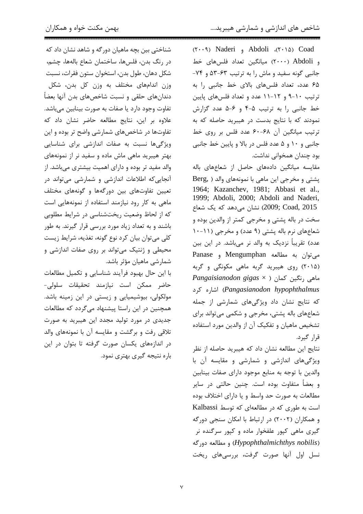شناختی بین بچه ماهیان دورگه و شاهد نشان داد که در رنگ بدن، فلسها، ساختمان شعاع بالهها، چشم، شكل دهان، طول بدن، استخوان ستون فقرات، نسبت وزن اندامهای مختلف به وزن کل بدن، شکل دندانهای حلقی و نسبت شاخصهای بدن آنها بعضاً تفاوت وجود دارد یا صفات به صورت بینابین میباشد. علاوه بر این، نتایج مطالعه حاضر نشان داد که تفاوتها در شاخصهای شمارشی واضح تر بوده و این ویژگیها نسبت به صفات اندازشی برای شناسایی بهتر هیبرید ماهی ماش ماده و سفید نر از نمونههای والد مفید تر بوده و دارای اهمیت بیشتری میباشد. از آنجایی که اطلاعات اندازشی و شمارشی میتواند در تعیین تفاوتهای بین دورگهها و گونههای مختلف ماهی به کار رود نیازمند استفاده از نمونههایی است که از لحاظ وضعیت ریختشناسی در شرایط مطلوبی باشند و به تعداد زیاد مورد بررسی قرار گیرند. به طور کلی می توان بیان کرد نوع گونه، تغذیه، شرایط زیست محیطی و ژنتیک میتواند بر روی صفات اندازشی و شمارشی ماهیان مؤثر باشد.

با این حال بهبود فرآیند شناسایی و تکمیل مطالعات حاضر ممكن است نيازمند تحقيقات سلولى-مولکولی، بیوشیمیایی و زیستی در این زمینه باشد. همچنین در این راستا پیشنهاد میگردد که مطالعات جدیدی در مورد تولید مجدد این هیبرید به صورت تلاقی رفت و برگشت و مقایسه آن با نمونههای والد در اندازههای یکسان صورت گرفته تا بتوان در این باره نتیجه گیری بهتری نمود.  $(Y \cdot 9)$  Naderi , Abdoli (٢٠١٥) Coad و Abdoli (٢٠٠٠) میانگین تعداد فلسهای خط جانبی گونه سفید و ماش را به ترتیب ۶۳-۵۳ و ۷۴-۶۵ عدد، تعداد فلسهای بالای خط جانبی را به ترتیب ١٠-٩ و ١٢-١١ عدد و تعداد فلسهای پايين خط جانبي را به ترتيب ۵-۴ و ۶-۵ عدد گزارش نمودند که با نتایج بدست در هیبرید حاصله که به ترتيب ميانگين آن ۶۸-۶۰ عدد فلس بر روي خط جانبي و ١٠ و ۵ عدد فلس در بالا و پايين خط جانبي بود چندان همخوانی نداشت.

مقایسه میانگین دادههای حاصل از شعاعهای باله یشتی و مخرجی این ماهی با نمونههای والد ( ,Berg 1964; Kazanchev, 1981; Abbasi et al., 1999; Abdoli, 2000; Abdoli and Naderi, 2009; Coad, 2015) نشان می0هد که یک شعاع سخت در باله پشتی و مخرجی کمتر از والدین بوده و شعاعهای نرم باله پشتی (۹ عدد) و مخرجی (۱۱-۱۰ عدد) تقریباً نزدیک به والد نر میباشد. در این بین Panase , Mengumphan و Panase (۲۰۱۵) روی هیبرید گربه ماهی مکونگی و گربه Pangaisianodon gigas × ) ماهی رنگین کمان Pangasianodon hypophthalmus) اشاره کرد که نتایج نشان داد ویژگیهای شمارشی از جمله شعاعهای باله پشتی، مخرجی و شکمی می تواند برای تشخیص ماهیان و تفکیک آن از والدین مورد استفاده قرا, گیرد.

نتايج اين مطالعه نشان داد كه هيبريد حاصله از نظر ویژگیهای اندازشی و شمارشی و مقایسه آن با والدين با توجه به منابع موجود داراي صفات بينابين و بعضاً متفاوت بوده است. چنین حالتی در سایر مطالعات به صورت حد واسط و یا دارای اختلاف بوده است به طوری که در مطالعهای که توسط Kalbassi و همکاران (۲۰۰۲) در ارتباط با امکان سنجی دورگه گیری ماهی کپور علفخوار ماده و کپور سرگنده نر (Hypophthalmichthys nobilis) و مطالعه دوركه نسل اول آنها صورت گرفت، بررسیهای ریخت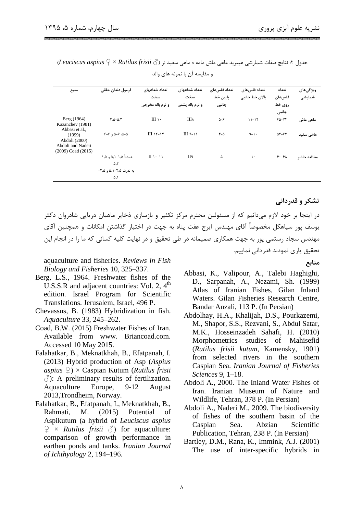| منبع                                                                   | فرمول دندان حلقى              | تعداد شعاعهای<br>سخت<br><b>و نرم باله مخرجي</b> | تعداد شعاعهای<br>سخت<br>و نرم باله پشتی | تعداد فلس های<br>پايين خط<br>جانبى | تعداد فلس های<br>بالای خط جانبی | تعداد<br>فلس&ای<br>روي خط<br>جانبى          | ویژگیهای<br>شمارشى |
|------------------------------------------------------------------------|-------------------------------|-------------------------------------------------|-----------------------------------------|------------------------------------|---------------------------------|---------------------------------------------|--------------------|
| Berg (1964)<br>Kazanchev (1981)<br>Abbasi et al.,                      | $T.\Delta-\Delta.\Upsilon$    | $III \rightarrow$                               | Шλ                                      | $\Delta-\mathcal{F}$               | $11 - 17$                       | $60 - Yf$                                   | ماهي ماش           |
| (1999)<br>Abdoli (2000)<br>Abdoli and Naderi<br>$(2009)$ Coad $(2015)$ | $9 - 9$ $0 - 9$ $0 - 0$       | $III 15-15$                                     | $III$ ٩-١١                              | $f-\Delta$                         | $9-1$                           | $\Delta \mathbf{Y} - \mathbf{Y} \mathbf{Y}$ | ماهی سفید          |
|                                                                        | عمدتاً ۰٫۵–۵٫۱ و ۰۱٫۵–<br>۵.۲ | $\Pi \cup \neg \wedge$                          | II٩                                     | ۵                                  | $\mathcal{L}$                   | 6.54                                        | مطالعه حاضر        |
|                                                                        | به ندرت ۲٫۵–۵٫۱ و ۲٫۵–<br>۵,۱ |                                                 |                                         |                                    |                                 |                                             |                    |

 $\mu$ جدول ۲: نتایج صفات شمارشی هیبرید ماهی ماش ماده × ماهی سفید نر ( $\ell$  *Rutilus frisii )* جدول ۲: نتایج صفات شمارشی هیبرید ماهی ماش ماده × ماهی و مقايسه آن با نمونه هاى والد

تشکر و قدردانی

**منابع** 

در اینجا بر خود لازم میدانیم که از مسئولین محترم مرکز تکثیر و بازسازی ذخایر ماهیان دریایی شادروان دکتر یوسف پور سیاهکل مخصوصاً آقای مهندس ایرج عفت پناه به جهت در اختیار گذاشتن امکانات و همچنین آقای مهندس سجاد رستمی پور به جهت همکاری صمیمانه در طی تحقیق و در نهایت کلیه کسانی که ما را در انجام این تحقيق ياري نمودند قدرداني نماييم.

aquaculture and fisheries. *Reviews in Fish Biology and Fisheries* 10, 325–337.

- Berg, L.S., 1964. Freshwater fishes of the U.S.S.R and adjacent countries: Vol. 2,  $4<sup>th</sup>$ edition. Israel Program for Scientific Translations. Jerusalem, Israel, 496 P.
- Chevassus, B. (1983) Hybridization in fish. *Aquaculture* 33, 245–262.
- Coad, B.W. (2015) Freshwater Fishes of Iran. Available from www. Briancoad.com. Accessed 10 May 2015.
- Falahatkar, B., Meknatkhah, B., Efatpanah, I. (2013) Hybrid production of Asp (*Aspius aspius* ♀) × Caspian Kutum (*Rutilus frisii*   $\Diamond$ : A preliminary results of fertilization. Aquaculture Europe, 9-12 August 2013,Trondheim, Norway.
- Falahatkar, B., Efatpanah, I., Meknatkhah, B., Rahmati, M. (2015) Potential of Aspikutum (a hybrid of *Leuciscus aspius*  $\varphi \times$  *Rutilus frisii*  $\varphi$  for aquaculture: comparison of growth performance in earthen ponds and tanks. *Iranian Journal of Ichthyology* 2, 194–196.

Abbasi, K., Valipour, A., Talebi Haghighi, D., Sarpanah, A., Nezami, Sh. (1999) Atlas of Iranian Fishes, Gilan Inland Waters. Gilan Fisheries Research Centre, Bandar Anzali, 113 P. (In Persian)

- Abdolhay, H.A., Khalijah, D.S., Pourkazemi, M., Shapor, S.S., Rezvani, S., Abdul Satar, M.K., Hosseinzadeh Sahafi, H. (2010) Morphometrics studies of Mahisefid (*Rutilus frisii kutum,* Kamensky, 1901) from selected rivers in the southern Caspian Sea. *Iranian Journal of Fisheries Sciences* 9, 1–18.
- Abdoli A., 2000. The Inland Water Fishes of Iran. Iranian Museum of Nature and Wildlife, Tehran, 378 P. (In Persian)
- Abdoli A., Naderi M., 2009. The biodiversity of fishes of the southern basin of the Caspian Sea. Abzian Scientific Publication, Tehran, 238 P. (In Persian)
- Bartley, D.M., Rana, K., Immink, A.J. (2001) The use of inter-specific hybrids in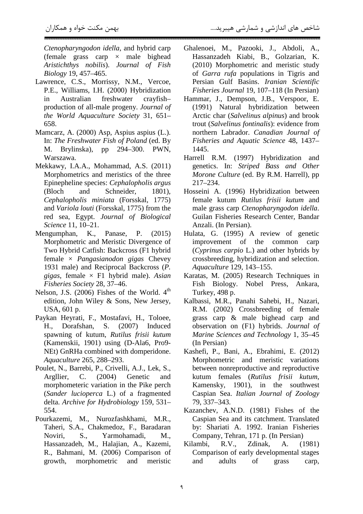*Ctenopharyngodon idella*, and hybrid carp (female grass carp  $\times$  male bighead *Aristichthys nobilis*). *Journal of Fish Biology* 19, 457–465.

- Lawrence, C.S., Morrissy, N.M., Vercoe, P.E., Williams, I.H. (2000) Hybridization in Australian freshwater crayfish– production of all-male progeny. *Journal of the World Aquaculture Society* 31, 651– 658.
- Mamcarz, A. (2000) Asp, Aspius aspius (L.). In: *The Freshwater Fish of Poland* (ed. By M. Brylinska), pp 294–300. PWN, Warszawa.
- Mekkawy, I.A.A., Mohammad, A.S. (2011) Morphometrics and meristics of the three Epinepheline species: *Cephalopholis argus*  (Bloch and Schneider, 1801), *Cephalopholis miniata* (Forsskal, 1775) and *Variola louti* (Forsskal, 1775) from the red sea, Egypt. *Journal of Biological Science* 11, 10–21.
- Mengumphan, K., Panase, P. (2015) Morphometric and Meristic Divergence of Two Hybrid Catfish: Backcross (F1 hybrid female × *Pangasianodon gigas* Chevey 1931 male) and Reciprocal Backcross (*P. gigas*, female × F1 hybrid male). *Asian Fisheries Society* 28, 37–46.
- Nelson, J.S.  $(2006)$  Fishes of the World.  $4<sup>th</sup>$ edition, John Wiley & Sons, New Jersey, USA, 601 p.
- Paykan Heyrati, F., Mostafavi, H., Toloee, H., Dorafshan, S. (2007) Induced spawning of kutum, *Rutilus frisii kutum*  (Kamenskii, 1901) using (D-Ala6, Pro9- NEt) GnRHa combined with domperidone. *Aquaculture* 265, 288–293.
- Poulet, N., Barrebi, P., Crivelli, A.J., Lek, S., Argllier, C. (2004) Genetic and morphometeric variation in the Pike perch (*Sander lucioperca* L.) of a fragmented delta. *Archive for Hydrobiology* 159, 531– 554.
- Pourkazemi, M., Nurozfashkhami, M.R., Taheri, S.A., Chakmedoz, F., Baradaran Noviri, S., Yarmohamadi, M., Hassanzadeh, M., Halajian, A., Kazemi, R., Bahmani, M. (2006) Comparison of growth, morphometric and meristic
- Ghalenoei, M., Pazooki, J., Abdoli, A., Hassanzadeh Kiabi, B., Golzarian, K. (2010) Morphometric and meristic study of *Garra rufa* populations in Tigris and Persian Gulf Basins. *Iranian Scientific Fisheries Journal* 19, 107–118 (In Persian)
- Hammar, J., Dempson, J.B., Verspoor, E. (1991) Natural hybridization between Arctic char (*Salvelinus alpinus*) and brook trout (*Salvelinus fontinalis*): evidence from northern Labrador. *Canadian Journal of Fisheries and Aquatic Science* 48, 1437– 1445.
- Harrell R.M. (1997) Hybridization and genetics. In: *Striped Bass and Other Morone Culture* (ed. By R.M. Harrell), pp 217–234.
- Hosseini A. (1996) Hybridization between female kutum *Rutilus frisii kutum* and male grass carp *Ctenopharyngodon idella*. Guilan Fisheries Research Center, Bandar Anzali. (In Persian).
- Hulata, G. (1995) A review of genetic improvement of the common carp (*Cyprinus carpio* L.) and other hybrids by crossbreeding, hybridization and selection. *Aquaculture* 129, 143–155.
- Karatas, M. (2005) Research Techniques in Fish Biology. Nobel Press, Ankara, Turkey, 498 p.
- Kalbassi, M.R., Panahi Sahebi, H., Nazari, R.M. (2002) Crossbreeding of female grass carp & male bighead carp and observation on (F1) hybrids. *Journal of Marine Sciences and Technology* 1, 35–45 (In Persian)
- Kashefi, P., Bani, A., Ebrahimi, E. (2012) Morphometric and meristic variations between nonreproductive and reproductive kutum females (*Rutilus frisii kutum*, Kamensky, 1901), in the southwest Caspian Sea. *Italian Journal of Zoology* 79, 337–343.
- Kazanchev, A.N.D. (1981) Fishes of the Caspian Sea and its catchment. Translated by: Shariati A. 1992. Iranian Fisheries Company, Tehran, 171 p. (In Persian)
- Kilambi, R.V., Zdinak, A. (1981) Comparison of early developmental stages and adults of grass carp,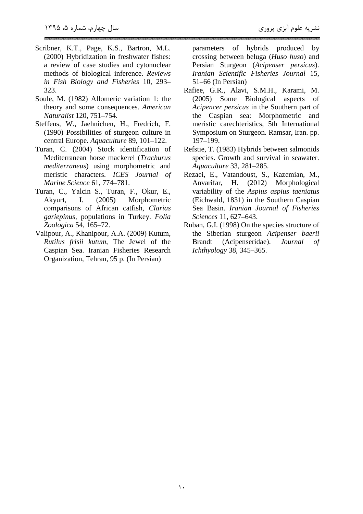- Scribner, K.T., Page, K.S., Bartron, M.L. (2000) Hybridization in freshwater fishes: a review of case studies and cytonuclear methods of biological inference. *Reviews in Fish Biology and Fisheries* 10, 293– 323.
- Soule, M. (1982) Allomeric variation 1: the theory and some consequences. *American Naturalist* 120, 751–754.
- Steffens, W., Jaehnichen, H., Fredrich, F. (1990) Possibilities of sturgeon culture in central Europe. *Aquaculture* 89, 101–122.
- Turan, C. (2004) Stock identification of Mediterranean horse mackerel (*Trachurus mediterraneus*) using morphometric and meristic characters. *ICES Journal of Marine Science* 61, 774–781.
- Turan, C., Yalcin S., Turan, F., Okur, E., Akyurt, I. (2005) Morphometric comparisons of African catfish, *Clarias gariepinus*, populations in Turkey. *Folia Zoologica* 54, 165–72.
- Valipour, A., Khanipour, A.A. (2009) Kutum, *Rutilus frisii kutum*, The Jewel of the Caspian Sea. Iranian Fisheries Research Organization, Tehran, 95 p. (In Persian)

parameters of hybrids produced by crossing between beluga (*Huso huso*) and Persian Sturgeon (*Acipenser persicus*). *Iranian Scientific Fisheries Journal* 15, 51–66 (In Persian)

- Rafiee, G.R., Alavi, S.M.H., Karami, M. (2005) Some Biological aspects of *Acipencer persicus* in the Southern part of the Caspian sea: Morphometric and meristic carechteristics, 5th International Symposium on Sturgeon. Ramsar, Iran. pp. 197–199.
- Refstie, T. (1983) Hybrids between salmonids species. Growth and survival in seawater. *Aquaculture* 33, 281–285.
- Rezaei, E., Vatandoust, S., Kazemian, M., Anvarifar, H. (2012) Morphological variability of the *Aspius aspius taeniatus*  (Eichwald, 1831) in the Southern Caspian Sea Basin. *Iranian Journal of Fisheries Sciences* 11, 627–643.
- Ruban, G.I. (1998) On the species structure of the Siberian sturgeon *Acipenser baerii*  Brandt (Acipenseridae). *Journal of Ichthyology* 38, 345–365.